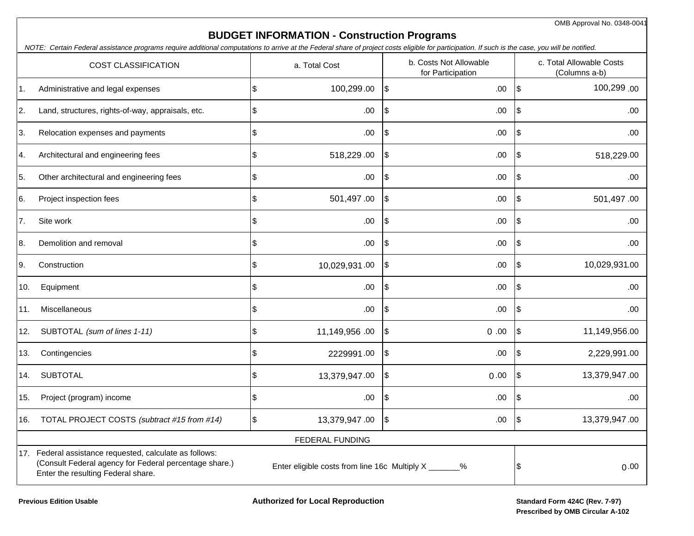OMB Approval No. 0348-0041

## **BUDGET INFORMATION - Construction Programs**

NOTE: Certain Federal assistance programs require additional computations to arrive at the Federal share of project costs eligible for participation. If such is the case, you will be notified.

| <b>COST CLASSIFICATION</b> |                                                                                                                                                                                                                   |    | a. Total Cost          |                           | b. Costs Not Allowable<br>for Participation |                | c. Total Allowable Costs<br>(Columns a-b) |  |
|----------------------------|-------------------------------------------------------------------------------------------------------------------------------------------------------------------------------------------------------------------|----|------------------------|---------------------------|---------------------------------------------|----------------|-------------------------------------------|--|
| 1.                         | Administrative and legal expenses                                                                                                                                                                                 | \$ | 100,299.00             | $\mathfrak{S}$            | .00                                         | $\mathfrak{S}$ | 100,299.00                                |  |
| 2.                         | Land, structures, rights-of-way, appraisals, etc.                                                                                                                                                                 | \$ | .00                    | $\$\$                     | .00.                                        | \$             | .00.                                      |  |
| 3.                         | Relocation expenses and payments                                                                                                                                                                                  | \$ | .00                    | \$                        | .00.                                        | \$             | .00.                                      |  |
| 4.                         | Architectural and engineering fees                                                                                                                                                                                | \$ | 518,229.00             | $\frac{1}{2}$             | .00                                         | \$             | 518,229.00                                |  |
| 5.                         | Other architectural and engineering fees                                                                                                                                                                          | \$ | .00.                   | $\frac{1}{2}$             | .00                                         | \$             | .00.                                      |  |
| 6.                         | Project inspection fees                                                                                                                                                                                           | \$ | 501,497.00             | $\frac{1}{2}$             | .00                                         | \$             | 501,497.00                                |  |
| 7.                         | Site work                                                                                                                                                                                                         | \$ | .00                    | \$                        | .00.                                        | \$             | .00                                       |  |
| 8.                         | Demolition and removal                                                                                                                                                                                            | \$ | .00                    | $\boldsymbol{\mathsf{S}}$ | .00                                         | \$             | .00                                       |  |
| 9.                         | Construction                                                                                                                                                                                                      | \$ | 10,029,931.00          | \$                        | .00                                         | \$             | 10,029,931.00                             |  |
| 10.                        | Equipment                                                                                                                                                                                                         | \$ | .00                    | \$                        | .00                                         | \$             | .00.                                      |  |
| 11.                        | Miscellaneous                                                                                                                                                                                                     | \$ | .00                    | $\sqrt{3}$                | .00                                         | \$             | .00.                                      |  |
| 12.                        | SUBTOTAL (sum of lines 1-11)                                                                                                                                                                                      | \$ | 11,149,956.00          | \$                        | 0.00                                        | $\sqrt{3}$     | 11,149,956.00                             |  |
| 13.                        | Contingencies                                                                                                                                                                                                     | \$ | 2229991.00             | \$                        | .00.                                        | \$             | 2,229,991.00                              |  |
| 14.                        | <b>SUBTOTAL</b>                                                                                                                                                                                                   | \$ | 13,379,947.00          | \$                        | 0.00                                        | \$             | 13,379,947.00                             |  |
| 15.                        | Project (program) income                                                                                                                                                                                          | \$ | .00                    | $\$\$                     | .00                                         | \$             | .00.                                      |  |
| 16.                        | TOTAL PROJECT COSTS (subtract #15 from #14)                                                                                                                                                                       | \$ | 13,379,947.00          | \$                        | .00.                                        | \$             | 13,379,947.00                             |  |
|                            |                                                                                                                                                                                                                   |    | <b>FEDERAL FUNDING</b> |                           |                                             |                |                                           |  |
|                            | 17. Federal assistance requested, calculate as follows:<br>(Consult Federal agency for Federal percentage share.)<br>Enter eligible costs from line 16c Multiply X _______%<br>Enter the resulting Federal share. |    |                        |                           |                                             |                | 0.00                                      |  |